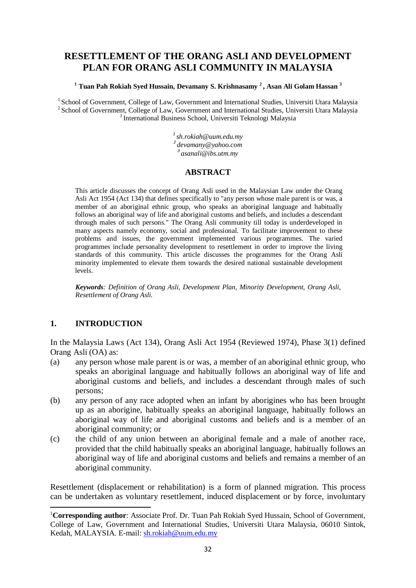# **RESETTLEMENT OF THE ORANG ASLI AND DEVELOPMENT PLAN FOR ORANG ASLI COMMUNITY IN MALAYSIA**

#### **[1](#page-0-0) Tuan Pah Rokiah Syed Hussain, Devamany S. Krishnasamy <sup>2</sup> , Asan Ali Golam Hassan <sup>3</sup>**

<sup>1</sup> School of Government, College of Law, Government and International Studies, Universiti Utara Malaysia<sup>2</sup> School of Government, College of Law, Government and International Studies, Universiti Utara Malaysia<sup>3</sup> Interna

*1 [sh.rokiah@uum.edu.my](mailto:sh.rokiah@uum.edu.my) 2 [devamany@yahoo.com](mailto:devamany@yahoo.com) <sup>3</sup>[asanali@ibs.utm.my](mailto:asanali@ibs.utm.my)*

#### **ABSTRACT**

This article discusses the concept of Orang Asli used in the Malaysian Law under the Orang Asli Act 1954 (Act 134) that defines specifically to "any person whose male parent is or was, a member of an aboriginal ethnic group, who speaks an aboriginal language and habitually follows an aboriginal way of life and aboriginal customs and beliefs, and includes a descendant through males of such persons." The Orang Asli community till today is underdeveloped in many aspects namely economy, social and professional. To facilitate improvement to these problems and issues, the government implemented various programmes. The varied programmes include personality development to resettlement in order to improve the living standards of this community. This article discusses the programmes for the Orang Asli minority implemented to elevate them towards the desired national sustainable development levels.

*Keywords: Definition of Orang Asli, Development Plan, Minority Development, Orang Asli, Resettlement of Orang Asli.*

# **1. INTRODUCTION**

**.** 

In the Malaysia Laws (Act 134), Orang Asli Act 1954 (Reviewed 1974), Phase 3(1) defined Orang Asli (OA) as:

- (a) any person whose male parent is or was, a member of an aboriginal ethnic group, who speaks an aboriginal language and habitually follows an aboriginal way of life and aboriginal customs and beliefs, and includes a descendant through males of such persons;
- (b) any person of any race adopted when an infant by aborigines who has been brought up as an aborigine, habitually speaks an aboriginal language, habitually follows an aboriginal way of life and aboriginal customs and beliefs and is a member of an aboriginal community; or
- (c) the child of any union between an aboriginal female and a male of another race, provided that the child habitually speaks an aboriginal language, habitually follows an aboriginal way of life and aboriginal customs and beliefs and remains a member of an aboriginal community.

Resettlement (displacement or rehabilitation) is a form of planned migration. This process can be undertaken as voluntary resettlement, induced displacement or by force, involuntary

<span id="page-0-0"></span><sup>&</sup>lt;sup>1</sup>Corresponding author: Associate Prof. Dr. Tuan Pah Rokiah Syed Hussain, School of Government, College of Law, Government and International Studies, Universiti Utara Malaysia, 06010 Sintok, Kedah, MALAYSIA. E-mail: [sh.rokiah@uum.edu.my](mailto:sh.rokiah@uum.edu.my)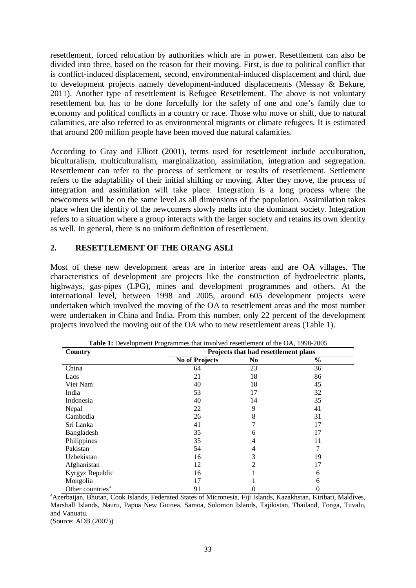resettlement, forced relocation by authorities which are in power. Resettlement can also be divided into three, based on the reason for their moving. First, is due to political conflict that is conflict-induced displacement, second, environmental-induced displacement and third, due to development projects namely development-induced displacements (Messay & Bekure, 2011). Another type of resettlement is Refugee Resettlement. The above is not voluntary resettlement but has to be done forcefully for the safety of one and one's family due to economy and political conflicts in a country or race. Those who move or shift, due to natural calamities, are also referred to as environmental migrants or climate refugees. It is estimated that around 200 million people have been moved due natural calamities.

According to Gray and Elliott (2001), terms used for resettlement include acculturation, biculturalism, multiculturalism, marginalization, assimilation, integration and segregation. Resettlement can refer to the process of settlement or results of resettlement. Settlement refers to the adaptability of their initial shifting or moving. After they move, the process of integration and assimilation will take place. Integration is a long process where the newcomers will be on the same level as all dimensions of the population. Assimilation takes place when the identity of the newcomers slowly melts into the dominant society. Integration refers to a situation where a group interacts with the larger society and retains its own identity as well. In general, there is no uniform definition of resettlement.

#### **2. RESETTLEMENT OF THE ORANG ASLI**

Most of these new development areas are in interior areas and are OA villages. The characteristics of development are projects like the construction of hydroelectric plants, highways, gas-pipes (LPG), mines and development programmes and others. At the international level, between 1998 and 2005, around 605 development projects were undertaken which involved the moving of the OA to resettlement areas and the most number were undertaken in China and India. From this number, only 22 percent of the development projects involved the moving out of the OA who to new resettlement areas (Table 1).

| <b>Table 1:</b> Development Programmes that involved resettlement of the OA, 1998-2005 |                                      |     |               |  |
|----------------------------------------------------------------------------------------|--------------------------------------|-----|---------------|--|
| Country                                                                                | Projects that had resettlement plans |     |               |  |
|                                                                                        | <b>No of Projects</b>                | No. | $\frac{6}{9}$ |  |
| China                                                                                  | 64                                   | 23  | 36            |  |
| Laos                                                                                   | 21                                   | 18  | 86            |  |
| Viet Nam                                                                               | 40                                   | 18  | 45            |  |
| India                                                                                  | 53                                   | 17  | 32            |  |
| Indonesia                                                                              | 40                                   | 14  | 35            |  |
| Nepal                                                                                  | 22                                   | 9   | 41            |  |
| Cambodia                                                                               | 26                                   | 8   | 31            |  |
| Sri Lanka                                                                              | 41                                   |     | 17            |  |
| Bangladesh                                                                             | 35                                   | 6   | 17            |  |
| Philippines                                                                            | 35                                   | 4   | 11            |  |
| Pakistan                                                                               | 54                                   | 4   | 7             |  |
| Uzbekistan                                                                             | 16                                   | 3   | 19            |  |
| Afghanistan                                                                            | 12                                   | 2   | 17            |  |
| Kyrgyz Republic                                                                        | 16                                   |     | 6             |  |
| Mongolia                                                                               | 17                                   |     | 6             |  |
| Other countries <sup>a</sup>                                                           | 91                                   | 0   | 0             |  |

<sup>a</sup> Azerbaijan, Bhutan, Cook Islands, Federated States of Micronesia, Fiji Islands, Kazakhstan, Kiribati, Maldives, Marshall Islands, Nauru, Papua New Guinea, Samoa, Solomon Islands, Tajikistan, Thailand, Tonga, Tuvalu, and Vanuatu. (Source: ADB (2007))

33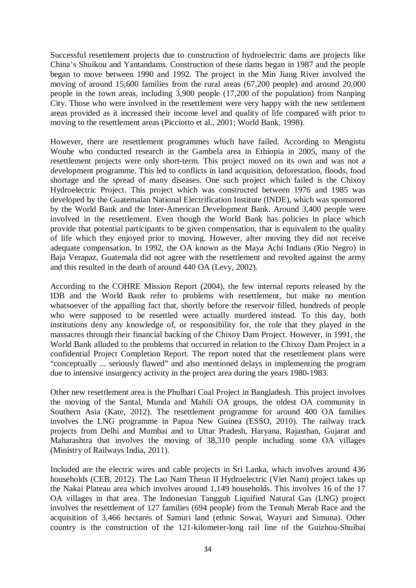Successful resettlement projects due to construction of hydroelectric dams are projects like China's Shuikou and Yantandams. Construction of these dams began in 1987 and the people began to move between 1990 and 1992. The project in the Min Jiang River involved the moving of around 15,600 families from the rural areas (67,200 people) and around 20,000 people in the town areas, including 3,900 people (17,200 of the population) from Nanping City. Those who were involved in the resettlement were very happy with the new settlement areas provided as it increased their income level and quality of life compared with prior to moving to the resettlement areas (Picciotto et al., 2001; World Bank, 1998).

However, there are resettlement programmes which have failed. According to Mengistu Woube who conducted research in the Gambela area in Ethiopia in 2005, many of the resettlement projects were only short-term. This project moved on its own and was not a development programme. This led to conflicts in land acquisition, deforestation, floods, food shortage and the spread of many diseases. One such project which failed is the Chixoy Hydroelectric Project. This project which was constructed between 1976 and 1985 was developed by the Guatemalan National Electrification Institute (INDE), which was sponsored by the World Bank and the Inter-American Development Bank. Around 3,400 people were involved in the resettlement. Even though the World Bank has policies in place which provide that potential participants to be given compensation, that is equivalent to the quality of life which they enjoyed prior to moving. However, after moving they did not receive adequate compensation. In 1992, the OA known as the Maya Achi Indians (Rio Negro) in Baja Verapaz, Guatemala did not agree with the resettlement and revolted against the army and this resulted in the death of around 440 OA (Levy, 2002).

According to the COHRE Mission Report (2004), the few internal reports released by the IDB and the World Bank refer to problems with resettlement, but make no mention whatsoever of the appalling fact that, shortly before the reservoir filled, hundreds of people who were supposed to be resettled were actually murdered instead. To this day, both institutions deny any knowledge of, or responsibility for, the role that they played in the massacres through their financial backing of the Chixoy Dam Project. However, in 1991, the World Bank alluded to the problems that occurred in relation to the Chixoy Dam Project in a confidential Project Completion Report. The report noted that the resettlement plans were "conceptually ... seriously flawed" and also mentioned delays in implementing the program due to intensive insurgency activity in the project area during the years 1980-1983.

Other new resettlement area is the Phulbari Coal Project in Bangladesh. This project involves the moving of the Santal, Munda and Mahili OA groups, the oldest OA community in Southern Asia (Kate, 2012). The resettlement programme for around 400 OA families involves the LNG programme in Papua New Guinea (ESSO, 2010). The railway track projects from Delhi and Mumbai and to Uttar Pradesh, Haryana, Rajasthan, Gujarat and Maharashtra that involves the moving of 38,310 people including some OA villages (Ministry of Railways India, 2011).

Included are the electric wires and cable projects in Sri Lanka, which involves around 436 households (CEB, 2012). The Lao Nam Theun II Hydroelectric (Viet Nam) project takes up the Nakai Plateau area which involves around 1,149 households. This involves 16 of the 17 OA villages in that area. The Indonesian Tangguh Liquified Natural Gas (LNG) project involves the resettlement of 127 families (694 people) from the Tennah Merah Race and the acquisition of 3,466 hectares of Samuri land (ethnic Sowai, Wayuri and Simuna). Other country is the construction of the 121-kilometer-long rail line of the Guizhou-Shuibai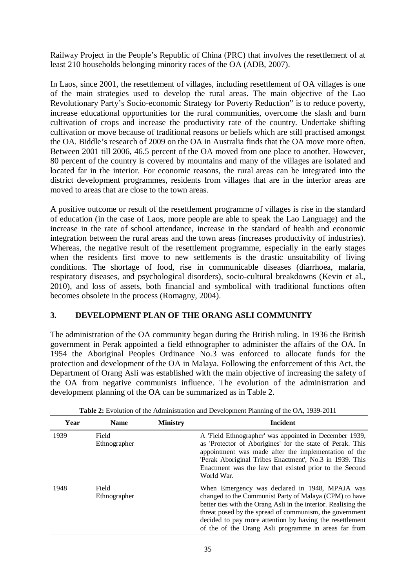Railway Project in the People's Republic of China (PRC) that involves the resettlement of at least 210 households belonging minority races of the OA (ADB, 2007).

In Laos, since 2001, the resettlement of villages, including resettlement of OA villages is one of the main strategies used to develop the rural areas. The main objective of the Lao Revolutionary Party's Socio-economic Strategy for Poverty Reduction" is to reduce poverty, increase educational opportunities for the rural communities, overcome the slash and burn cultivation of crops and increase the productivity rate of the country. Undertake shifting cultivation or move because of traditional reasons or beliefs which are still practised amongst the OA. Biddle's research of 2009 on the OA in Australia finds that the OA move more often. Between 2001 till 2006, 46.5 percent of the OA moved from one place to another. However, 80 percent of the country is covered by mountains and many of the villages are isolated and located far in the interior. For economic reasons, the rural areas can be integrated into the district development programmes, residents from villages that are in the interior areas are moved to areas that are close to the town areas.

A positive outcome or result of the resettlement programme of villages is rise in the standard of education (in the case of Laos, more people are able to speak the Lao Language) and the increase in the rate of school attendance, increase in the standard of health and economic integration between the rural areas and the town areas (increases productivity of industries). Whereas, the negative result of the resettlement programme, especially in the early stages when the residents first move to new settlements is the drastic unsuitability of living conditions. The shortage of food, rise in communicable diseases (diarrhoea, malaria, respiratory diseases, and psychological disorders), socio-cultural breakdowns (Kevin et al., 2010), and loss of assets, both financial and symbolical with traditional functions often becomes obsolete in the process (Romagny, 2004).

# **3. DEVELOPMENT PLAN OF THE ORANG ASLI COMMUNITY**

The administration of the OA community began during the British ruling. In 1936 the British government in Perak appointed a field ethnographer to administer the affairs of the OA. In 1954 the Aboriginal Peoples Ordinance No.3 was enforced to allocate funds for the protection and development of the OA in Malaya. Following the enforcement of this Act, the Department of Orang Asli was established with the main objective of increasing the safety of the OA from negative communists influence. The evolution of the administration and development planning of the OA can be summarized as in Table 2.

| Year | <b>Name</b>           | <b>Ministry</b> | <b>Incident</b>                                                                                                                                                                                                                                                                                                                                           |
|------|-----------------------|-----------------|-----------------------------------------------------------------------------------------------------------------------------------------------------------------------------------------------------------------------------------------------------------------------------------------------------------------------------------------------------------|
| 1939 | Field<br>Ethnographer |                 | A 'Field Ethnographer' was appointed in December 1939,<br>as 'Protector of Aborigines' for the state of Perak. This<br>appointment was made after the implementation of the<br>'Perak Aboriginal Tribes Enactment', No.3 in 1939. This<br>Enactment was the law that existed prior to the Second<br>World War.                                            |
| 1948 | Field<br>Ethnographer |                 | When Emergency was declared in 1948, MPAJA was<br>changed to the Communist Party of Malaya (CPM) to have<br>better ties with the Orang Asli in the interior. Realising the<br>threat posed by the spread of communism, the government<br>decided to pay more attention by having the resettlement<br>of the of the Orang Asli programme in areas far from |

**Table 2:** Evolution of the Administration and Development Planning of the OA, 1939-2011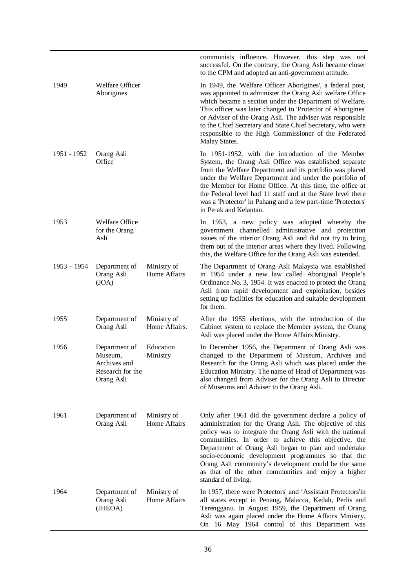|               |                                                                            |                              | communists influence. However, this step was not<br>successful. On the contrary, the Orang Asli became closer<br>to the CPM and adopted an anti-government attitude.                                                                                                                                                                                                                                                                                                                      |
|---------------|----------------------------------------------------------------------------|------------------------------|-------------------------------------------------------------------------------------------------------------------------------------------------------------------------------------------------------------------------------------------------------------------------------------------------------------------------------------------------------------------------------------------------------------------------------------------------------------------------------------------|
| 1949          | Welfare Officer<br>Aborigines                                              |                              | In 1949, the 'Welfare Officer Aborigines', a federal post,<br>was appointed to administer the Orang Asli welfare Office<br>which became a section under the Department of Welfare.<br>This officer was later changed to 'Protector of Aborigines'<br>or Adviser of the Orang Asli. The adviser was responsible<br>to the Chief Secretary and State Chief Secretary, who were<br>responsible to the High Commissioner of the Federated<br>Malay States.                                    |
| 1951 - 1952   | Orang Asli<br>Office                                                       |                              | In 1951-1952, with the introduction of the Member<br>System, the Orang Asli Office was established separate<br>from the Welfare Department and its portfolio was placed<br>under the Welfare Department and under the portfolio of<br>the Member for Home Office. At this time, the office at<br>the Federal level had 11 staff and at the State level there<br>was a 'Protector' in Pahang and a few part-time 'Protectors'<br>in Perak and Kelantan.                                    |
| 1953          | <b>Welfare Office</b><br>for the Orang<br>Asli                             |                              | In 1953, a new policy was adopted whereby the<br>government channelled administrative and protection<br>issues of the interior Orang Asli and did not try to bring<br>them out of the interior areas where they lived. Following<br>this, the Welfare Office for the Orang Asli was extended.                                                                                                                                                                                             |
| $1953 - 1954$ | Department of<br>Orang Asli<br>(JOA)                                       | Ministry of<br>Home Affairs  | The Department of Orang Asli Malaysia was established<br>in 1954 under a new law called Aboriginal People's<br>Ordinance No. 3, 1954. It was enacted to protect the Orang<br>Asli from rapid development and exploitation, besides<br>setting up facilities for education and suitable development<br>for them.                                                                                                                                                                           |
| 1955          | Department of<br>Orang Asli                                                | Ministry of<br>Home Affairs. | After the 1955 elections, with the introduction of the<br>Cabinet system to replace the Member system, the Orang<br>Asli was placed under the Home Affairs Ministry.                                                                                                                                                                                                                                                                                                                      |
| 1956          | Department of<br>Museum,<br>Archives and<br>Research for the<br>Orang Asli | Education<br>Ministry        | In December 1956, the Department of Orang Asli was<br>changed to the Department of Museum, Archives and<br>Research for the Orang Asli which was placed under the<br>Education Ministry. The name of Head of Department was<br>also changed from Adviser for the Orang Asli to Director<br>of Museums and Adviser to the Orang Asli.                                                                                                                                                      |
| 1961          | Department of<br>Orang Asli                                                | Ministry of<br>Home Affairs  | Only after 1961 did the government declare a policy of<br>administration for the Orang Asli. The objective of this<br>policy was to integrate the Orang Asli with the national<br>communities. In order to achieve this objective, the<br>Department of Orang Asli began to plan and undertake<br>socio-economic development programmes so that the<br>Orang Asli community's development could be the same<br>as that of the other communities and enjoy a higher<br>standard of living. |
| 1964          | Department of<br>Orang Asli<br>(JHEOA)                                     | Ministry of<br>Home Affairs  | In 1957, there were Protectors' and 'Assistant Protectors'in<br>all states except in Penang, Malacca, Kedah, Perlis and<br>Terengganu. In August 1959, the Department of Orang<br>Asli was again placed under the Home Affairs Ministry.<br>On 16 May 1964 control of this Department was                                                                                                                                                                                                 |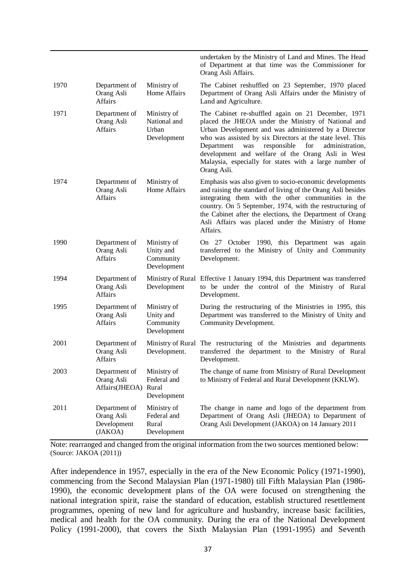|      |                                                       |                                                      | undertaken by the Ministry of Land and Mines. The Head<br>of Department at that time was the Commissioner for<br>Orang Asli Affairs.                                                                                                                                                                                                                                                                                        |
|------|-------------------------------------------------------|------------------------------------------------------|-----------------------------------------------------------------------------------------------------------------------------------------------------------------------------------------------------------------------------------------------------------------------------------------------------------------------------------------------------------------------------------------------------------------------------|
| 1970 | Department of<br>Orang Asli<br><b>Affairs</b>         | Ministry of<br>Home Affairs                          | The Cabinet reshuffled on 23 September, 1970 placed<br>Department of Orang Asli Affairs under the Ministry of<br>Land and Agriculture.                                                                                                                                                                                                                                                                                      |
| 1971 | Department of<br>Orang Asli<br><b>Affairs</b>         | Ministry of<br>National and<br>Urban<br>Development  | The Cabinet re-shuffled again on 21 December, 1971<br>placed the JHEOA under the Ministry of National and<br>Urban Development and was administered by a Director<br>who was assisted by six Directors at the state level. This<br>responsible<br>Department<br>for<br>administration,<br>was<br>development and welfare of the Orang Asli in West<br>Malaysia, especially for states with a large number of<br>Orang Asli. |
| 1974 | Department of<br>Orang Asli<br><b>Affairs</b>         | Ministry of<br>Home Affairs                          | Emphasis was also given to socio-economic developments<br>and raising the standard of living of the Orang Asli besides<br>integrating them with the other communities in the<br>country. On 5 September, 1974, with the restructuring of<br>the Cabinet after the elections, the Department of Orang<br>Asli Affairs was placed under the Ministry of Home<br>Affairs.                                                      |
| 1990 | Department of<br>Orang Asli<br><b>Affairs</b>         | Ministry of<br>Unity and<br>Community<br>Development | On 27 October 1990, this Department was again<br>transferred to the Ministry of Unity and Community<br>Development.                                                                                                                                                                                                                                                                                                         |
| 1994 | Department of<br>Orang Asli<br><b>Affairs</b>         | Development                                          | Ministry of Rural Effective 1 January 1994, this Department was transferred<br>to be under the control of the Ministry of Rural<br>Development.                                                                                                                                                                                                                                                                             |
| 1995 | Department of<br>Orang Asli<br><b>Affairs</b>         | Ministry of<br>Unity and<br>Community<br>Development | During the restructuring of the Ministries in 1995, this<br>Department was transferred to the Ministry of Unity and<br>Community Development.                                                                                                                                                                                                                                                                               |
| 2001 | Department of<br>Orang Asli<br><b>Affairs</b>         | Ministry of Rural<br>Development.                    | The restructuring of the Ministries and departments<br>transferred the department to the Ministry of Rural<br>Development.                                                                                                                                                                                                                                                                                                  |
| 2003 | Department of<br>Orang Asli<br>Affairs(JHEOA)         | Ministry of<br>Federal and<br>Rural<br>Development   | The change of name from Ministry of Rural Development<br>to Ministry of Federal and Rural Development (KKLW).                                                                                                                                                                                                                                                                                                               |
| 2011 | Department of<br>Orang Asli<br>Development<br>(JAKOA) | Ministry of<br>Federal and<br>Rural<br>Development   | The change in name and logo of the department from<br>Department of Orang Asli (JHEOA) to Department of<br>Orang Asli Development (JAKOA) on 14 January 2011                                                                                                                                                                                                                                                                |

Note: rearranged and changed from the original information from the two sources mentioned below: (Source: JAKOA (2011))

After independence in 1957, especially in the era of the New Economic Policy (1971-1990), commencing from the Second Malaysian Plan (1971-1980) till Fifth Malaysian Plan (1986- 1990), the economic development plans of the OA were focused on strengthening the national integration spirit, raise the standard of education, establish structured resettlement programmes, opening of new land for agriculture and husbandry, increase basic facilities, medical and health for the OA community. During the era of the National Development Policy (1991-2000), that covers the Sixth Malaysian Plan (1991-1995) and Seventh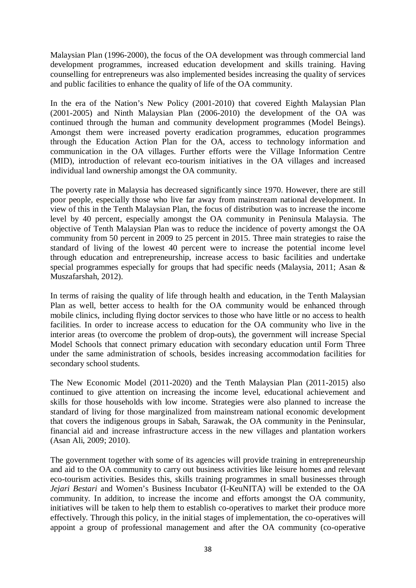Malaysian Plan (1996-2000), the focus of the OA development was through commercial land development programmes, increased education development and skills training. Having counselling for entrepreneurs was also implemented besides increasing the quality of services and public facilities to enhance the quality of life of the OA community.

In the era of the Nation's New Policy (2001-2010) that covered Eighth Malaysian Plan (2001-2005) and Ninth Malaysian Plan (2006-2010) the development of the OA was continued through the human and community development programmes (Model Beings). Amongst them were increased poverty eradication programmes, education programmes through the Education Action Plan for the OA, access to technology information and communication in the OA villages. Further efforts were the Village Information Centre (MID), introduction of relevant eco-tourism initiatives in the OA villages and increased individual land ownership amongst the OA community.

The poverty rate in Malaysia has decreased significantly since 1970. However, there are still poor people, especially those who live far away from mainstream national development. In view of this in the Tenth Malaysian Plan, the focus of distribution was to increase the income level by 40 percent, especially amongst the OA community in Peninsula Malaysia. The objective of Tenth Malaysian Plan was to reduce the incidence of poverty amongst the OA community from 50 percent in 2009 to 25 percent in 2015. Three main strategies to raise the standard of living of the lowest 40 percent were to increase the potential income level through education and entrepreneurship, increase access to basic facilities and undertake special programmes especially for groups that had specific needs (Malaysia, 2011; Asan & Muszafarshah, 2012).

In terms of raising the quality of life through health and education, in the Tenth Malaysian Plan as well, better access to health for the OA community would be enhanced through mobile clinics, including flying doctor services to those who have little or no access to health facilities. In order to increase access to education for the OA community who live in the interior areas (to overcome the problem of drop-outs), the government will increase Special Model Schools that connect primary education with secondary education until Form Three under the same administration of schools, besides increasing accommodation facilities for secondary school students.

The New Economic Model (2011-2020) and the Tenth Malaysian Plan (2011-2015) also continued to give attention on increasing the income level, educational achievement and skills for those households with low income. Strategies were also planned to increase the standard of living for those marginalized from mainstream national economic development that covers the indigenous groups in Sabah, Sarawak, the OA community in the Peninsular, financial aid and increase infrastructure access in the new villages and plantation workers (Asan Ali, 2009; 2010).

The government together with some of its agencies will provide training in entrepreneurship and aid to the OA community to carry out business activities like leisure homes and relevant eco-tourism activities. Besides this, skills training programmes in small businesses through *Jejari Bestari* and Women's Business Incubator (I-KeuNITA) will be extended to the OA community. In addition, to increase the income and efforts amongst the OA community, initiatives will be taken to help them to establish co-operatives to market their produce more effectively. Through this policy, in the initial stages of implementation, the co-operatives will appoint a group of professional management and after the OA community (co-operative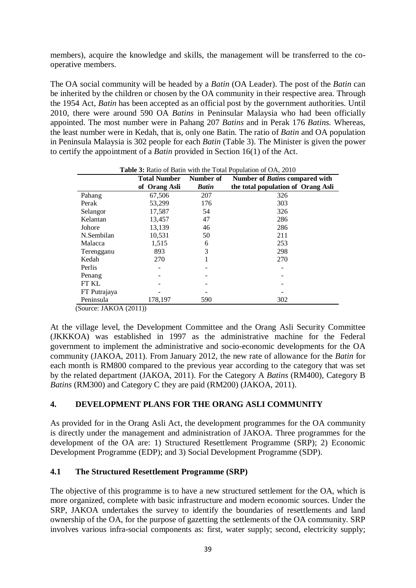members), acquire the knowledge and skills, the management will be transferred to the cooperative members.

The OA social community will be headed by a *Batin* (OA Leader). The post of the *Batin* can be inherited by the children or chosen by the OA community in their respective area. Through the 1954 Act, *Batin* has been accepted as an official post by the government authorities. Until 2010, there were around 590 OA *Batins* in Peninsular Malaysia who had been officially appointed. The most number were in Pahang 207 *Batins* and in Perak 176 *Batins.* Whereas, the least number were in Kedah, that is, only one Batin. The ratio of *Batin* and OA population in Peninsula Malaysia is 302 people for each *Batin* (Table 3). The Minister is given the power to certify the appointment of a *Batin* provided in Section 16(1) of the Act.

|              | <b>Table 5.</b> Kano of Bathi with the Tolar I optimited of $O(1)$ , 2010<br><b>Total Number</b><br>Number of<br>Number of Batins compared with |              |                                    |  |  |
|--------------|-------------------------------------------------------------------------------------------------------------------------------------------------|--------------|------------------------------------|--|--|
|              | of Orang Asli                                                                                                                                   | <b>Batin</b> | the total population of Orang Asli |  |  |
| Pahang       | 67,506                                                                                                                                          | 207          | 326                                |  |  |
| Perak        | 53.299                                                                                                                                          | 176          | 303                                |  |  |
| Selangor     | 17,587                                                                                                                                          | 54           | 326                                |  |  |
| Kelantan     | 13,457                                                                                                                                          | 47           | 286                                |  |  |
| Johore       | 13,139                                                                                                                                          | 46           | 286                                |  |  |
| N.Sembilan   | 10,531                                                                                                                                          | 50           | 211                                |  |  |
| Malacca      | 1,515                                                                                                                                           | 6            | 253                                |  |  |
| Terengganu   | 893                                                                                                                                             | 3            | 298                                |  |  |
| Kedah        | 270                                                                                                                                             |              | 270                                |  |  |
| Perlis       |                                                                                                                                                 |              |                                    |  |  |
| Penang       |                                                                                                                                                 |              |                                    |  |  |
| FT KL        |                                                                                                                                                 |              |                                    |  |  |
| FT Putrajaya |                                                                                                                                                 |              |                                    |  |  |
| Peninsula    | 178,197                                                                                                                                         | 590          | 302                                |  |  |

**Table 3:** Ratio of Batin with the Total Population of OA, 2010

(Source: JAKOA (2011))

At the village level, the Development Committee and the Orang Asli Security Committee (JKKKOA) was established in 1997 as the administrative machine for the Federal government to implement the administrative and socio-economic developments for the OA community (JAKOA, 2011). From January 2012, the new rate of allowance for the *Batin* for each month is RM800 compared to the previous year according to the category that was set by the related department (JAKOA, 2011). For the Category A *Batins* (RM400), Category B *Batins* (RM300) and Category C they are paid (RM200) (JAKOA, 2011).

# **4. DEVELOPMENT PLANS FOR THE ORANG ASLI COMMUNITY**

As provided for in the Orang Asli Act, the development programmes for the OA community is directly under the management and administration of JAKOA. Three programmes for the development of the OA are: 1) Structured Resettlement Programme (SRP); 2) Economic Development Programme (EDP); and 3) Social Development Programme (SDP).

# **4.1 The Structured Resettlement Programme (SRP)**

The objective of this programme is to have a new structured settlement for the OA, which is more organized, complete with basic infrastructure and modern economic sources. Under the SRP, JAKOA undertakes the survey to identify the boundaries of resettlements and land ownership of the OA, for the purpose of gazetting the settlements of the OA community. SRP involves various infra-social components as: first, water supply; second, electricity supply;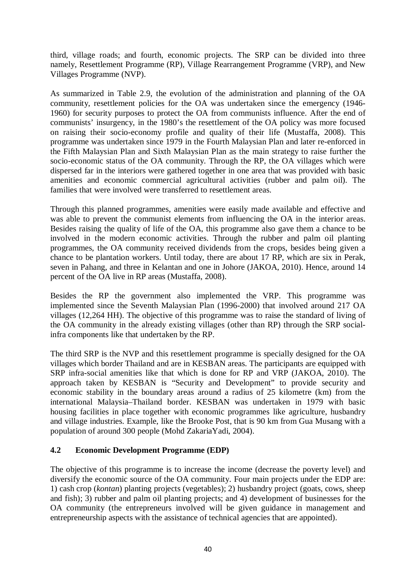third, village roads; and fourth, economic projects. The SRP can be divided into three namely, Resettlement Programme (RP), Village Rearrangement Programme (VRP), and New Villages Programme (NVP).

As summarized in Table 2.9, the evolution of the administration and planning of the OA community, resettlement policies for the OA was undertaken since the emergency (1946- 1960) for security purposes to protect the OA from communists influence. After the end of communists' insurgency, in the 1980's the resettlement of the OA policy was more focused on raising their socio-economy profile and quality of their life (Mustaffa, 2008). This programme was undertaken since 1979 in the Fourth Malaysian Plan and later re-enforced in the Fifth Malaysian Plan and Sixth Malaysian Plan as the main strategy to raise further the socio-economic status of the OA community. Through the RP, the OA villages which were dispersed far in the interiors were gathered together in one area that was provided with basic amenities and economic commercial agricultural activities (rubber and palm oil). The families that were involved were transferred to resettlement areas.

Through this planned programmes, amenities were easily made available and effective and was able to prevent the communist elements from influencing the OA in the interior areas. Besides raising the quality of life of the OA, this programme also gave them a chance to be involved in the modern economic activities. Through the rubber and palm oil planting programmes, the OA community received dividends from the crops, besides being given a chance to be plantation workers. Until today, there are about 17 RP, which are six in Perak, seven in Pahang, and three in Kelantan and one in Johore (JAKOA, 2010). Hence, around 14 percent of the OA live in RP areas (Mustaffa, 2008).

Besides the RP the government also implemented the VRP. This programme was implemented since the Seventh Malaysian Plan (1996-2000) that involved around 217 OA villages (12,264 HH). The objective of this programme was to raise the standard of living of the OA community in the already existing villages (other than RP) through the SRP socialinfra components like that undertaken by the RP.

The third SRP is the NVP and this resettlement programme is specially designed for the OA villages which border Thailand and are in KESBAN areas. The participants are equipped with SRP infra-social amenities like that which is done for RP and VRP (JAKOA, 2010). The approach taken by KESBAN is "Security and Development" to provide security and economic stability in the boundary areas around a radius of 25 kilometre (km) from the international Malaysia–Thailand border. KESBAN was undertaken in 1979 with basic housing facilities in place together with economic programmes like agriculture, husbandry and village industries. Example, like the Brooke Post, that is 90 km from Gua Musang with a population of around 300 people (Mohd ZakariaYadi, 2004).

# **4.2 Economic Development Programme (EDP)**

The objective of this programme is to increase the income (decrease the poverty level) and diversify the economic source of the OA community. Four main projects under the EDP are: 1) cash crop (*kontan*) planting projects (vegetables); 2) husbandry project (goats, cows, sheep and fish); 3) rubber and palm oil planting projects; and 4) development of businesses for the OA community (the entrepreneurs involved will be given guidance in management and entrepreneurship aspects with the assistance of technical agencies that are appointed).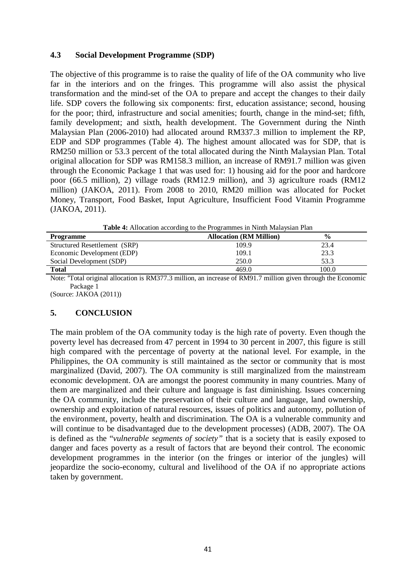#### **4.3 Social Development Programme (SDP)**

The objective of this programme is to raise the quality of life of the OA community who live far in the interiors and on the fringes. This programme will also assist the physical transformation and the mind-set of the OA to prepare and accept the changes to their daily life. SDP covers the following six components: first, education assistance; second, housing for the poor; third, infrastructure and social amenities; fourth, change in the mind-set; fifth, family development; and sixth, health development. The Government during the Ninth Malaysian Plan (2006-2010) had allocated around RM337.3 million to implement the RP, EDP and SDP programmes (Table 4). The highest amount allocated was for SDP, that is RM250 million or 53.3 percent of the total allocated during the Ninth Malaysian Plan. Total original allocation for SDP was RM158.3 million, an increase of RM91.7 million was given through the Economic Package 1 that was used for: 1) housing aid for the poor and hardcore poor (66.5 million), 2) village roads (RM12.9 million), and 3) agriculture roads (RM12 million) (JAKOA, 2011). From 2008 to 2010, RM20 million was allocated for Pocket Money, Transport, Food Basket, Input Agriculture, Insufficient Food Vitamin Programme (JAKOA, 2011).

| Table 4: Allocation according to the Programmes in Ninth Malaysian Plan |  |
|-------------------------------------------------------------------------|--|
|-------------------------------------------------------------------------|--|

| <b>Programme</b>              | <b>Allocation (RM Million)</b> | $\frac{6}{9}$ |
|-------------------------------|--------------------------------|---------------|
| Structured Resettlement (SRP) | 109.9                          | 23.4          |
| Economic Development (EDP)    | 109.1                          | 23.3          |
| Social Development (SDP)      | 250.0                          | 53.3          |
| Total                         | 469.0                          | 100.0         |

Note: <sup>a</sup>Total original allocation is RM377.3 million, an increase of RM91.7 million given through the Economic Package<sup>1</sup>

(Source: JAKOA (2011))

# **5. CONCLUSION**

The main problem of the OA community today is the high rate of poverty. Even though the poverty level has decreased from 47 percent in 1994 to 30 percent in 2007, this figure is still high compared with the percentage of poverty at the national level. For example, in the Philippines, the OA community is still maintained as the sector or community that is most marginalized (David, 2007). The OA community is still marginalized from the mainstream economic development. OA are amongst the poorest community in many countries. Many of them are marginalized and their culture and language is fast diminishing. Issues concerning the OA community, include the preservation of their culture and language, land ownership, ownership and exploitation of natural resources, issues of politics and autonomy, pollution of the environment, poverty, health and discrimination. The OA is a vulnerable community and will continue to be disadvantaged due to the development processes) (ADB, 2007). The OA is defined as the "*vulnerable segments of society"* that is a society that is easily exposed to danger and faces poverty as a result of factors that are beyond their control. The economic development programmes in the interior (on the fringes or interior of the jungles) will jeopardize the socio-economy, cultural and livelihood of the OA if no appropriate actions taken by government.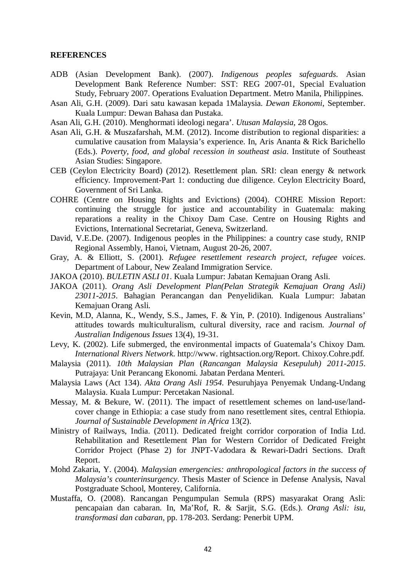#### **REFERENCES**

- ADB (Asian Development Bank). (2007). *Indigenous peoples safeguards*. Asian Development Bank Reference Number: SST: REG 2007-01, Special Evaluation Study, February 2007. Operations Evaluation Department. Metro Manila, Philippines.
- Asan Ali, G.H. (2009). Dari satu kawasan kepada 1Malaysia. *Dewan Ekonomi*, September. Kuala Lumpur: Dewan Bahasa dan Pustaka.
- Asan Ali, G.H. (2010). Menghormati ideologi negara'. *Utusan Malaysia*, 28 Ogos.
- Asan Ali, G.H. & Muszafarshah, M.M. (2012). Income distribution to regional disparities: a cumulative causation from Malaysia's experience. In, Aris Ananta & Rick Barichello (Eds.). *Poverty, food, and global recession in southeast asia*. Institute of Southeast Asian Studies: Singapore.
- CEB (Ceylon Electricity Board) (2012). Resettlement plan. SRI: clean energy & network efficiency. Improvement-Part 1: conducting due diligence. Ceylon Electricity Board, Government of Sri Lanka.
- COHRE (Centre on Housing Rights and Evictions) (2004). COHRE Mission Report: continuing the struggle for justice and accountability in Guatemala: making reparations a reality in the Chixoy Dam Case. Centre on Housing Rights and Evictions, International Secretariat, Geneva, Switzerland.
- David, V.E.De. (2007). Indigenous peoples in the Philippines: a country case study, RNIP Regional Assembly, Hanoi, Vietnam, August 20-26, 2007.
- Gray, A. & Elliott, S. (2001). *Refugee resettlement research project, refugee voices*. Department of Labour, New Zealand Immigration Service.
- JAKOA (2010). *BULETIN ASLI 01*. Kuala Lumpur: Jabatan Kemajuan Orang Asli.
- JAKOA (2011). *Orang Asli Development Plan(Pelan Strategik Kemajuan Orang Asli) 23011-2015*. Bahagian Perancangan dan Penyelidikan. Kuala Lumpur: Jabatan Kemajuan Orang Asli.
- Kevin, M.D, Alanna, K., Wendy, S.S., James, F. & Yin, P. (2010). Indigenous Australians' attitudes towards multiculturalism, cultural diversity, race and racism. *Journal of Australian Indigenous Issues* 13(4), 19-31.
- Levy, K. (2002). Life submerged, the environmental impacts of Guatemala's Chixoy Dam. *International Rivers Network*. http://www. rightsaction.org/Report. Chixoy.Cohre.pdf.
- Malaysia (2011). *10th Malaysian Plan* (*Rancangan Malaysia Kesepuluh) 2011-2015*. Putrajaya: Unit Perancang Ekonomi. Jabatan Perdana Menteri.
- Malaysia Laws (Act 134). *Akta Orang Asli 1954*. Pesuruhjaya Penyemak Undang-Undang Malaysia. Kuala Lumpur: Percetakan Nasional.
- Messay, M. & Bekure, W. (2011). The impact of resettlement schemes on land-use/landcover change in Ethiopia: a case study from nano resettlement sites, central Ethiopia. *Journal of Sustainable Development in Africa* 13(2).
- Ministry of Railways, India. (2011). Dedicated freight corridor corporation of India Ltd. Rehabilitation and Resettlement Plan for Western Corridor of Dedicated Freight Corridor Project (Phase 2) for JNPT-Vadodara & Rewari-Dadri Sections. Draft Report.
- Mohd Zakaria, Y. (2004). *Malaysian emergencies: anthropological factors in the success of Malaysia's counterinsurgency*. Thesis Master of Science in Defense Analysis, Naval Postgraduate School, Monterey, California.
- Mustaffa, O. (2008). Rancangan Pengumpulan Semula (RPS) masyarakat Orang Asli: pencapaian dan cabaran. In, Ma'Rof, R. & Sarjit, S.G. (Eds.). *Orang Asli: isu, transformasi dan cabaran,* pp. 178-203. Serdang: Penerbit UPM.